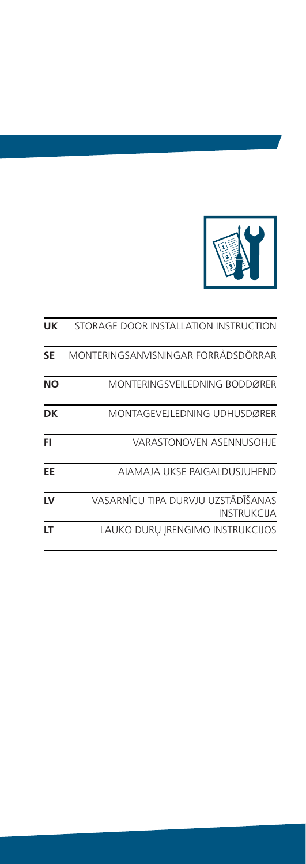

| UK        | STORAGE DOOR INSTALLATION INSTRUCTION             |
|-----------|---------------------------------------------------|
| <b>SE</b> | MONTERINGSANVISNINGAR FORRÅDSDÖRRAR               |
| NΟ        | MONTERINGSVEILEDNING BODDØRER                     |
| DK        | MONTAGEVEJLEDNING UDHUSDØRER                      |
| FI        | VARASTONOVEN ASENNUSOHJE                          |
| ЕE        | AIAMAJA UKSE PAIGALDUSJUHEND                      |
| LV        | VASARNĪCU TIPA DURVJU UZSTĀDĪŠANAS<br>INSTRUKCIJA |
| LT        | LAUKO DURŲ ĮRENGIMO INSTRUKCIJOS                  |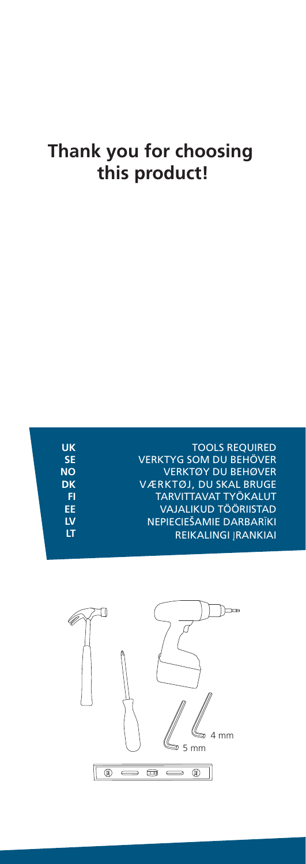## Thank you for choosing this product!



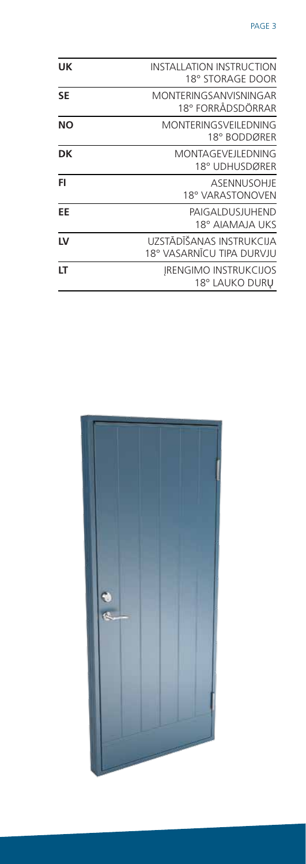| UK        | <b>INSTALLATION INSTRUCTION</b><br>18° STORAGE DOOR   |
|-----------|-------------------------------------------------------|
| <b>SE</b> | MONTERINGSANVISNINGAR<br>18° FORRÅDSDÖRRAR            |
| NΟ        | MONTERINGSVEILEDNING<br>18° BODDØRER                  |
| DK        | MONTAGEVEJLEDNING<br>18° UDHUSDØRER                   |
| FI        | <b>ASENNUSOHJE</b><br>18° VARASTONOVEN                |
| ЕE        | PAIGALDUSJUHEND<br>18° AIAMAJA UKS                    |
| LV        | UZSTĀDĪŠANAS INSTRUKCIJA<br>18° VASARNICU TIPA DURVJU |
| LT        | <b>IRENGIMO INSTRUKCIJOS</b><br>18° LAUKO DURU        |

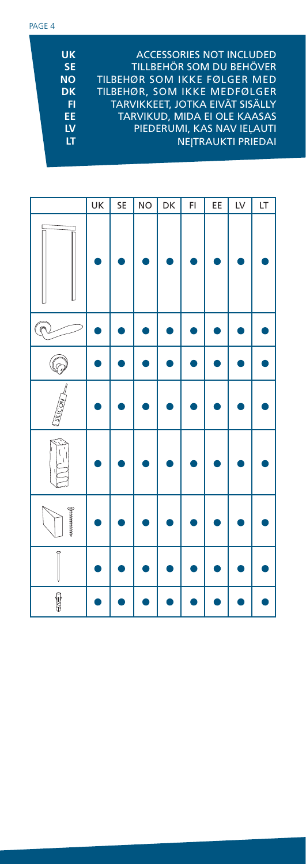## PAGE 4

**UK** 

**SE** 

**NO DK**  $F1$ EE LV

LT

**ACCESSORIES NOT INCLUDED** TILLBEHÖR SOM DU BEHÖVER TILBEHØR SOM IKKE FØLGER MED<br>TILBEHØR, SOM IKKE MEDFØLGER<br>TARVIKKEET, JOTKA EIVÄT SISÄLLY<br>TARVIKUD, MIDA EI OLE KAASAS PIEDERUMI, KAS NAV IEĻAUTI **NEITRAUKTI PRIEDAI** 

|                                                                                                                                                                                                                                                                                                                                                     | UK | SE | <b>NO</b> | DK | FI | EE | LV | LT |
|-----------------------------------------------------------------------------------------------------------------------------------------------------------------------------------------------------------------------------------------------------------------------------------------------------------------------------------------------------|----|----|-----------|----|----|----|----|----|
|                                                                                                                                                                                                                                                                                                                                                     |    |    |           |    |    |    |    |    |
|                                                                                                                                                                                                                                                                                                                                                     |    |    |           |    |    |    |    |    |
| S.                                                                                                                                                                                                                                                                                                                                                  |    |    |           |    |    |    |    |    |
| ION                                                                                                                                                                                                                                                                                                                                                 |    |    |           |    |    |    |    |    |
|                                                                                                                                                                                                                                                                                                                                                     |    |    |           |    |    |    |    |    |
| $\leftarrow$                                                                                                                                                                                                                                                                                                                                        |    |    |           |    |    |    |    |    |
|                                                                                                                                                                                                                                                                                                                                                     |    |    |           |    |    |    |    |    |
| $\begin{picture}(20,20) \put(0,0){\line(1,0){10}} \put(15,0){\line(1,0){10}} \put(15,0){\line(1,0){10}} \put(15,0){\line(1,0){10}} \put(15,0){\line(1,0){10}} \put(15,0){\line(1,0){10}} \put(15,0){\line(1,0){10}} \put(15,0){\line(1,0){10}} \put(15,0){\line(1,0){10}} \put(15,0){\line(1,0){10}} \put(15,0){\line(1,0){10}} \put(15,0){\line(1$ |    |    |           |    |    |    |    |    |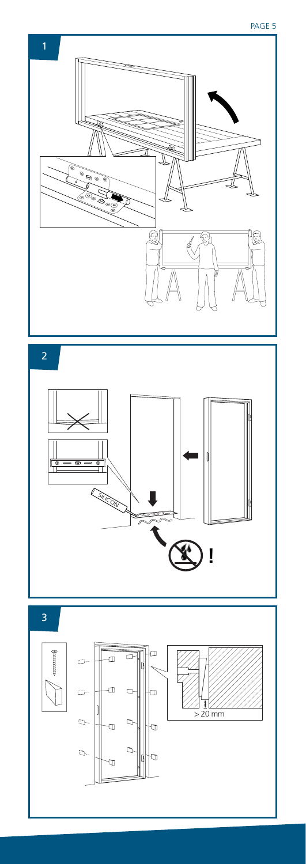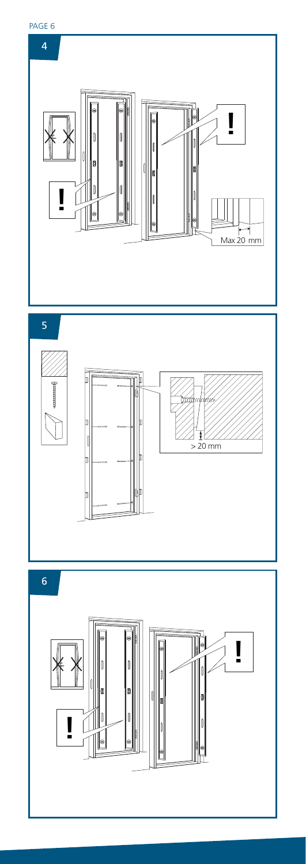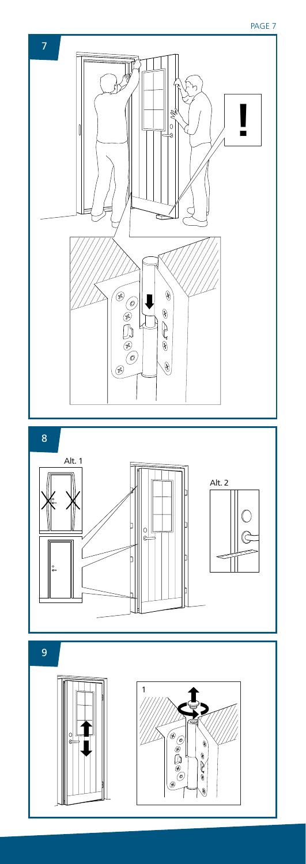## PAGE 7

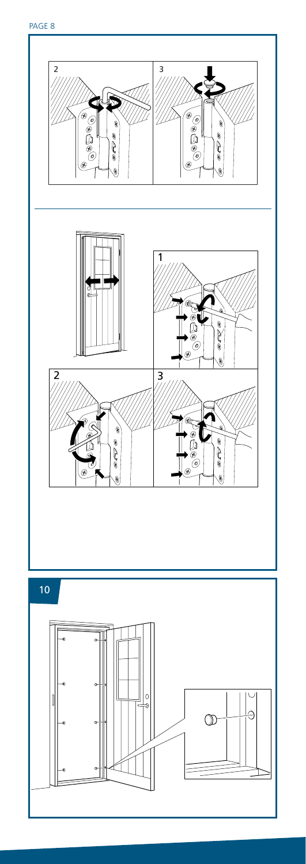![](_page_7_Figure_1.jpeg)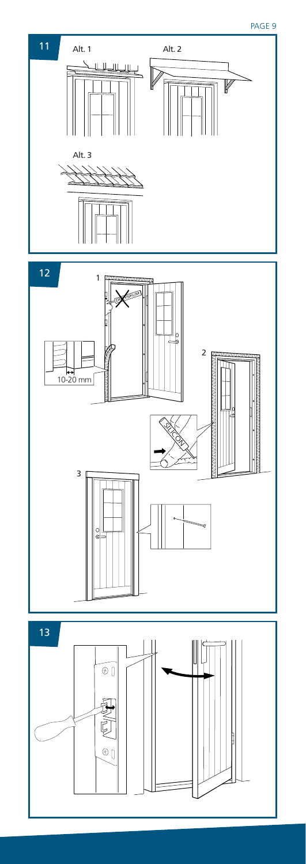![](_page_8_Figure_1.jpeg)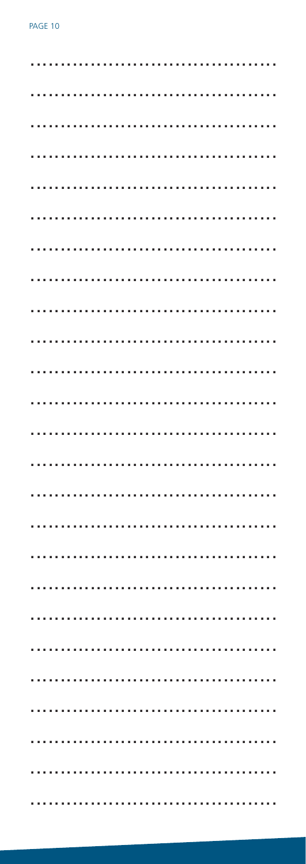## PAGE 10

|  |  |  |  |  |  |  |  |  | . |   |  |  |  |  |  |  |  |  |  |  |
|--|--|--|--|--|--|--|--|--|---|---|--|--|--|--|--|--|--|--|--|--|
|  |  |  |  |  |  |  |  |  |   |   |  |  |  |  |  |  |  |  |  |  |
|  |  |  |  |  |  |  |  |  |   | . |  |  |  |  |  |  |  |  |  |  |
|  |  |  |  |  |  |  |  |  |   |   |  |  |  |  |  |  |  |  |  |  |
|  |  |  |  |  |  |  |  |  |   |   |  |  |  |  |  |  |  |  |  |  |
|  |  |  |  |  |  |  |  |  |   |   |  |  |  |  |  |  |  |  |  |  |
|  |  |  |  |  |  |  |  |  |   |   |  |  |  |  |  |  |  |  |  |  |
|  |  |  |  |  |  |  |  |  |   |   |  |  |  |  |  |  |  |  |  |  |
|  |  |  |  |  |  |  |  |  |   |   |  |  |  |  |  |  |  |  |  |  |
|  |  |  |  |  |  |  |  |  |   |   |  |  |  |  |  |  |  |  |  |  |
|  |  |  |  |  |  |  |  |  |   |   |  |  |  |  |  |  |  |  |  |  |
|  |  |  |  |  |  |  |  |  |   |   |  |  |  |  |  |  |  |  |  |  |
|  |  |  |  |  |  |  |  |  |   |   |  |  |  |  |  |  |  |  |  |  |
|  |  |  |  |  |  |  |  |  |   |   |  |  |  |  |  |  |  |  |  |  |
|  |  |  |  |  |  |  |  |  |   |   |  |  |  |  |  |  |  |  |  |  |
|  |  |  |  |  |  |  |  |  |   |   |  |  |  |  |  |  |  |  |  |  |
|  |  |  |  |  |  |  |  |  |   |   |  |  |  |  |  |  |  |  |  |  |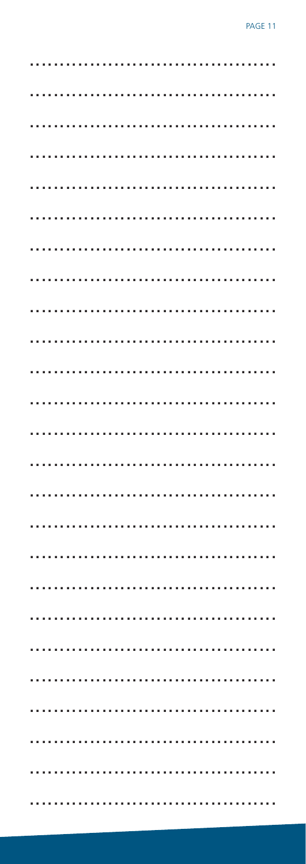| <b>ALC A</b> |  |  |  |  |   |  |  |  |  |  |   |  |   |  |  |  |  |  |  |  |  |
|--------------|--|--|--|--|---|--|--|--|--|--|---|--|---|--|--|--|--|--|--|--|--|
|              |  |  |  |  |   |  |  |  |  |  |   |  |   |  |  |  |  |  |  |  |  |
|              |  |  |  |  |   |  |  |  |  |  |   |  |   |  |  |  |  |  |  |  |  |
| .            |  |  |  |  |   |  |  |  |  |  |   |  |   |  |  |  |  |  |  |  |  |
|              |  |  |  |  |   |  |  |  |  |  |   |  |   |  |  |  |  |  |  |  |  |
| .            |  |  |  |  |   |  |  |  |  |  | . |  |   |  |  |  |  |  |  |  |  |
|              |  |  |  |  |   |  |  |  |  |  |   |  |   |  |  |  |  |  |  |  |  |
| .            |  |  |  |  | . |  |  |  |  |  |   |  | . |  |  |  |  |  |  |  |  |
|              |  |  |  |  |   |  |  |  |  |  |   |  |   |  |  |  |  |  |  |  |  |
| .            |  |  |  |  |   |  |  |  |  |  |   |  |   |  |  |  |  |  |  |  |  |
|              |  |  |  |  |   |  |  |  |  |  |   |  |   |  |  |  |  |  |  |  |  |
|              |  |  |  |  |   |  |  |  |  |  |   |  |   |  |  |  |  |  |  |  |  |
|              |  |  |  |  |   |  |  |  |  |  |   |  |   |  |  |  |  |  |  |  |  |
| .            |  |  |  |  |   |  |  |  |  |  |   |  |   |  |  |  |  |  |  |  |  |
|              |  |  |  |  |   |  |  |  |  |  |   |  |   |  |  |  |  |  |  |  |  |
| .            |  |  |  |  |   |  |  |  |  |  |   |  |   |  |  |  |  |  |  |  |  |
|              |  |  |  |  |   |  |  |  |  |  |   |  |   |  |  |  |  |  |  |  |  |
| .            |  |  |  |  |   |  |  |  |  |  |   |  |   |  |  |  |  |  |  |  |  |
|              |  |  |  |  |   |  |  |  |  |  |   |  |   |  |  |  |  |  |  |  |  |
| . .          |  |  |  |  | . |  |  |  |  |  |   |  | . |  |  |  |  |  |  |  |  |
|              |  |  |  |  |   |  |  |  |  |  | . |  |   |  |  |  |  |  |  |  |  |
| . .          |  |  |  |  |   |  |  |  |  |  |   |  |   |  |  |  |  |  |  |  |  |